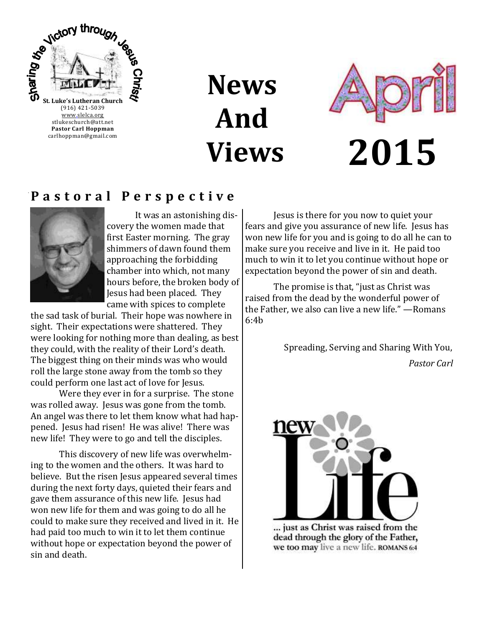

**News And Views**



## **P a s t o r a l P e r s p e c t i v e**



It was an astonishing discovery the women made that first Easter morning. The gray shimmers of dawn found them approaching the forbidding chamber into which, not many hours before, the broken body of Jesus had been placed. They came with spices to complete

the sad task of burial. Their hope was nowhere in sight. Their expectations were shattered. They were looking for nothing more than dealing, as best they could, with the reality of their Lord's death. The biggest thing on their minds was who would roll the large stone away from the tomb so they could perform one last act of love for Jesus.

Were they ever in for a surprise. The stone was rolled away. Jesus was gone from the tomb. An angel was there to let them know what had happened. Jesus had risen! He was alive! There was new life! They were to go and tell the disciples.

This discovery of new life was overwhelming to the women and the others. It was hard to believe. But the risen Jesus appeared several times during the next forty days, quieted their fears and gave them assurance of this new life. Jesus had won new life for them and was going to do all he could to make sure they received and lived in it. He had paid too much to win it to let them continue without hope or expectation beyond the power of sin and death.

Jesus is there for you now to quiet your fears and give you assurance of new life. Jesus has won new life for you and is going to do all he can to make sure you receive and live in it. He paid too much to win it to let you continue without hope or expectation beyond the power of sin and death.

The promise is that, "just as Christ was raised from the dead by the wonderful power of the Father, we also can live a new life." —Romans 6:4b

> Spreading, Serving and Sharing With You, *Pastor Carl*



... just as Christ was raised from the dead through the glory of the Father, we too may live a new life. ROMANS 6:4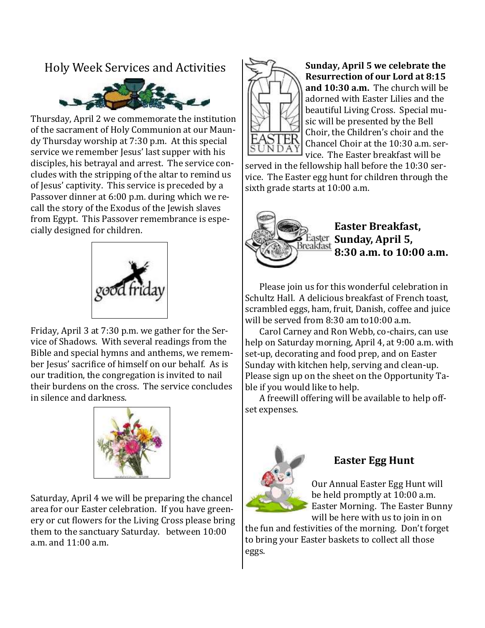## Holy Week Services and Activities



Thursday, April 2 we commemorate the institution of the sacrament of Holy Communion at our Maundy Thursday worship at 7:30 p.m. At this special service we remember Jesus' last supper with his disciples, his betrayal and arrest. The service concludes with the stripping of the altar to remind us of Jesus' captivity. This service is preceded by a Passover dinner at 6:00 p.m. during which we recall the story of the Exodus of the Jewish slaves from Egypt. This Passover remembrance is especially designed for children.



Friday, April 3 at 7:30 p.m. we gather for the Service of Shadows. With several readings from the Bible and special hymns and anthems, we remember Jesus' sacrifice of himself on our behalf. As is our tradition, the congregation is invited to nail their burdens on the cross. The service concludes in silence and darkness.



Saturday, April 4 we will be preparing the chancel area for our Easter celebration. If you have greenery or cut flowers for the Living Cross please bring them to the sanctuary Saturday. between 10:00 a.m. and 11:00 a.m.



**Sunday, April 5 we celebrate the Resurrection of our Lord at 8:15 and 10:30 a.m.** The church will be adorned with Easter Lilies and the beautiful Living Cross. Special music will be presented by the Bell Choir, the Children's choir and the Chancel Choir at the 10:30 a.m. service. The Easter breakfast will be

served in the fellowship hall before the 10:30 service. The Easter egg hunt for children through the sixth grade starts at 10:00 a.m.



**Easter Breakfast, S** Easter **Sunday, April 5,**<br>Breakfast **0.00 8:30 a.m. to 10:00 a.m.**

Please join us for this wonderful celebration in Schultz Hall. A delicious breakfast of French toast, scrambled eggs, ham, fruit, Danish, coffee and juice will be served from 8:30 am to10:00 a.m.

Carol Carney and Ron Webb, co-chairs, can use help on Saturday morning, April 4, at 9:00 a.m. with set-up, decorating and food prep, and on Easter Sunday with kitchen help, serving and clean-up. Please sign up on the sheet on the Opportunity Table if you would like to help.

A freewill offering will be available to help offset expenses.



#### **Easter Egg Hunt**

Our Annual Easter Egg Hunt will be held promptly at 10:00 a.m. Easter Morning. The Easter Bunny will be here with us to join in on

the fun and festivities of the morning. Don't forget to bring your Easter baskets to collect all those eggs.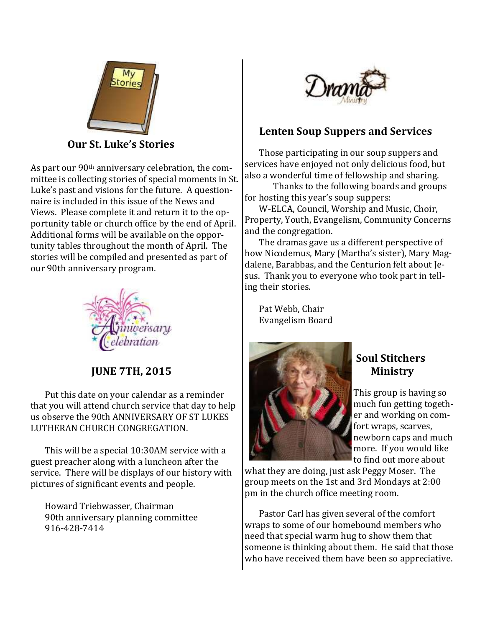

 **Our St. Luke's Stories**

As part our 90th anniversary celebration, the committee is collecting stories of special moments in St. Luke's past and visions for the future. A questionnaire is included in this issue of the News and Views. Please complete it and return it to the opportunity table or church office by the end of April. Additional forms will be available on the opportunity tables throughout the month of April. The stories will be compiled and presented as part of our 90th anniversary program.



 **JUNE 7TH, 2015**

Put this date on your calendar as a reminder that you will attend church service that day to help us observe the 90th ANNIVERSARY OF ST LUKES LUTHERAN CHURCH CONGREGATION.

This will be a special 10:30AM service with a guest preacher along with a luncheon after the service. There will be displays of our history with pictures of significant events and people.

Howard Triebwasser, Chairman 90th anniversary planning committee 916-428-7414



## **Lenten Soup Suppers and Services**

Those participating in our soup suppers and services have enjoyed not only delicious food, but also a wonderful time of fellowship and sharing.

Thanks to the following boards and groups for hosting this year's soup suppers:

W-ELCA, Council, Worship and Music, Choir, Property, Youth, Evangelism, Community Concerns and the congregation.

The dramas gave us a different perspective of how Nicodemus, Mary (Martha's sister), Mary Magdalene, Barabbas, and the Centurion felt about Jesus. Thank you to everyone who took part in telling their stories.

Pat Webb, Chair Evangelism Board



## **Soul Stitchers Ministry**

This group is having so much fun getting together and working on comfort wraps, scarves, newborn caps and much more. If you would like to find out more about

what they are doing, just ask Peggy Moser. The group meets on the 1st and 3rd Mondays at 2:00 pm in the church office meeting room.

Pastor Carl has given several of the comfort wraps to some of our homebound members who need that special warm hug to show them that someone is thinking about them. He said that those who have received them have been so appreciative.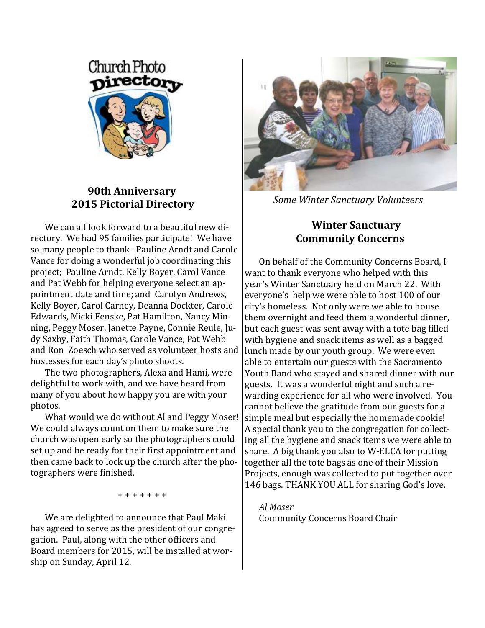

#### **90th Anniversary 2015 Pictorial Directory**

We can all look forward to a beautiful new directory. We had 95 families participate! We have so many people to thank--Pauline Arndt and Carole Vance for doing a wonderful job coordinating this project; Pauline Arndt, Kelly Boyer, Carol Vance and Pat Webb for helping everyone select an appointment date and time; and Carolyn Andrews, Kelly Boyer, Carol Carney, Deanna Dockter, Carole Edwards, Micki Fenske, Pat Hamilton, Nancy Minning, Peggy Moser, Janette Payne, Connie Reule, Judy Saxby, Faith Thomas, Carole Vance, Pat Webb and Ron Zoesch who served as volunteer hosts and hostesses for each day's photo shoots.

The two photographers, Alexa and Hami, were delightful to work with, and we have heard from many of you about how happy you are with your photos.

What would we do without Al and Peggy Moser! We could always count on them to make sure the church was open early so the photographers could set up and be ready for their first appointment and then came back to lock up the church after the photographers were finished.

+ + + + + + +

We are delighted to announce that Paul Maki has agreed to serve as the president of our congregation. Paul, along with the other officers and Board members for 2015, will be installed at worship on Sunday, April 12.



*Some Winter Sanctuary Volunteers*

#### **Winter Sanctuary Community Concerns**

On behalf of the Community Concerns Board, I want to thank everyone who helped with this year's Winter Sanctuary held on March 22. With everyone's help we were able to host 100 of our city's homeless. Not only were we able to house them overnight and feed them a wonderful dinner, but each guest was sent away with a tote bag filled with hygiene and snack items as well as a bagged lunch made by our youth group. We were even able to entertain our guests with the Sacramento Youth Band who stayed and shared dinner with our guests. It was a wonderful night and such a rewarding experience for all who were involved. You cannot believe the gratitude from our guests for a simple meal but especially the homemade cookie! A special thank you to the congregation for collecting all the hygiene and snack items we were able to share. A big thank you also to W-ELCA for putting together all the tote bags as one of their Mission Projects, enough was collected to put together over 146 bags. THANK YOU ALL for sharing God's love.

*Al Moser* Community Concerns Board Chair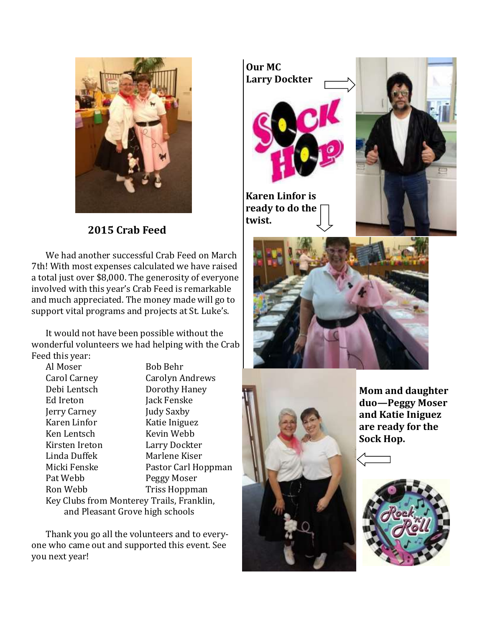

 **2015 Crab Feed**

We had another successful Crab Feed on March 7th! With most expenses calculated we have raised a total just over \$8,000. The generosity of everyone involved with this year's Crab Feed is remarkable and much appreciated. The money made will go to support vital programs and projects at St. Luke's.

It would not have been possible without the wonderful volunteers we had helping with the Crab Feed this year:

Al Moser Bob Behr Carol Carney Carolyn Andrews Debi Lentsch Dorothy Haney Ed Ireton Jack Fenske Jerry Carney Judy Saxby Karen Linfor Katie Iniguez Ken Lentsch Kevin Webb Kirsten Ireton Larry Dockter Linda Duffek Marlene Kiser Micki Fenske Pastor Carl Hoppman Pat Webb Peggy Moser Ron Webb Triss Hoppman Key Clubs from Monterey Trails, Franklin, and Pleasant Grove high schools

Thank you go all the volunteers and to everyone who came out and supported this event. See you next year!



**ready to do the twist.** 





**Mom and daughter duo—Peggy Moser and Katie Iniguez are ready for the Sock Hop.**

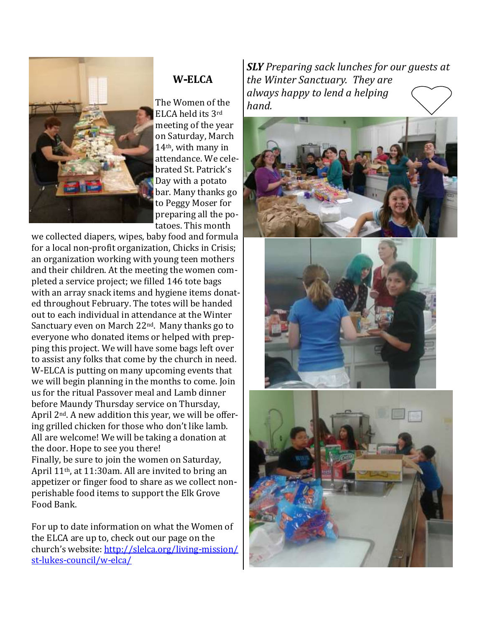

## **W-ELCA**

The Women of the ELCA held its 3rd meeting of the year on Saturday, March 14th, with many in attendance. We celebrated St. Patrick's Day with a potato bar. Many thanks go to Peggy Moser for preparing all the potatoes. This month

we collected diapers, wipes, baby food and formula for a local non-profit organization, Chicks in Crisis; an organization working with young teen mothers and their children. At the meeting the women completed a service project; we filled 146 tote bags with an array snack items and hygiene items donated throughout February. The totes will be handed out to each individual in attendance at the Winter Sanctuary even on March 22nd. Many thanks go to everyone who donated items or helped with prepping this project. We will have some bags left over to assist any folks that come by the church in need. W-ELCA is putting on many upcoming events that we will begin planning in the months to come. Join us for the ritual Passover meal and Lamb dinner before Maundy Thursday service on Thursday, April 2nd. A new addition this year, we will be offering grilled chicken for those who don't like lamb. All are welcome! We will be taking a donation at the door. Hope to see you there! Finally, be sure to join the women on Saturday, April 11th, at 11:30am. All are invited to bring an appetizer or finger food to share as we collect nonperishable food items to support the Elk Grove Food Bank.

For up to date information on what the Women of the ELCA are up to, check out our page on the church's website: [http://slelca.org/living-mission/](http://slelca.org/living-mission/st-lukes-council/w-elca/) [st-lukes-council/w-elca/](http://slelca.org/living-mission/st-lukes-council/w-elca/)

*SLY Preparing sack lunches for our guests at the Winter Sanctuary. They are always happy to lend a helping hand.* 





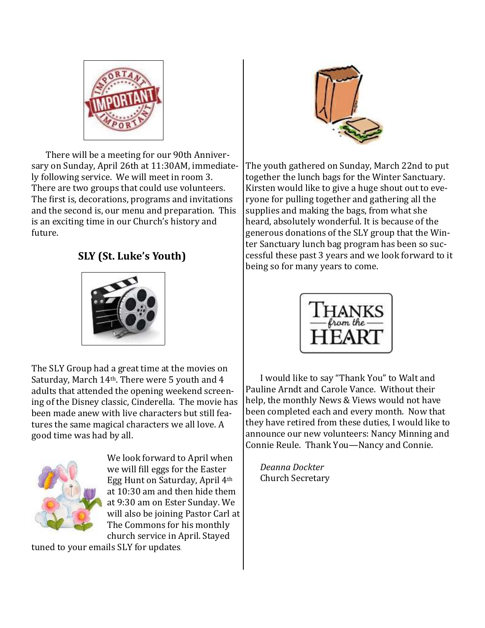

There will be a meeting for our 90th Anniversary on Sunday, April 26th at 11:30AM, immediately following service. We will meet in room 3. There are two groups that could use volunteers. The first is, decorations, programs and invitations and the second is, our menu and preparation. This is an exciting time in our Church's history and future.

## **SLY (St. Luke's Youth)**



The SLY Group had a great time at the movies on Saturday, March 14th. There were 5 youth and 4 adults that attended the opening weekend screening of the Disney classic, Cinderella. The movie has been made anew with live characters but still features the same magical characters we all love. A good time was had by all.



We look forward to April when we will fill eggs for the Easter Egg Hunt on Saturday, April 4th at 10:30 am and then hide them at 9:30 am on Ester Sunday. We will also be joining Pastor Carl at The Commons for his monthly church service in April. Stayed

tuned to your emails SLY for updates.



The youth gathered on Sunday, March 22nd to put together the lunch bags for the Winter Sanctuary. Kirsten would like to give a huge shout out to everyone for pulling together and gathering all the supplies and making the bags, from what she heard, absolutely wonderful. It is because of the generous donations of the SLY group that the Winter Sanctuary lunch bag program has been so successful these past 3 years and we look forward to it being so for many years to come.



I would like to say "Thank You" to Walt and Pauline Arndt and Carole Vance. Without their help, the monthly News & Views would not have been completed each and every month. Now that they have retired from these duties, I would like to announce our new volunteers: Nancy Minning and Connie Reule. Thank You—Nancy and Connie.

*Deanna Dockter* Church Secretary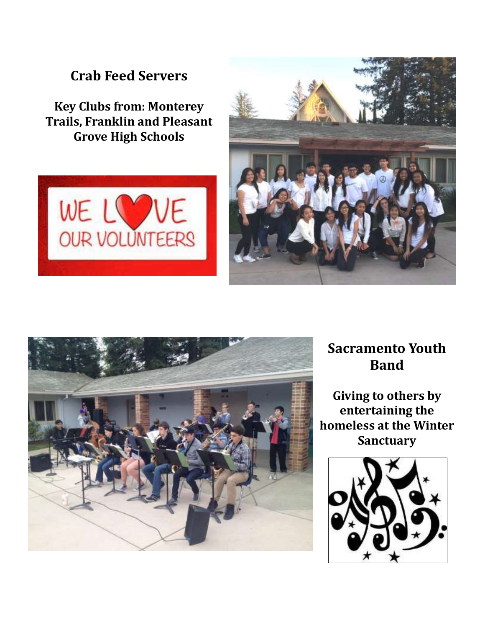# **Crab Feed Servers**

**Key Clubs from: Monterey Trails, Franklin and Pleasant Grove High Schools**







## **Sacramento Youth Band**

**Giving to others by entertaining the homeless at the Winter Sanctuary**

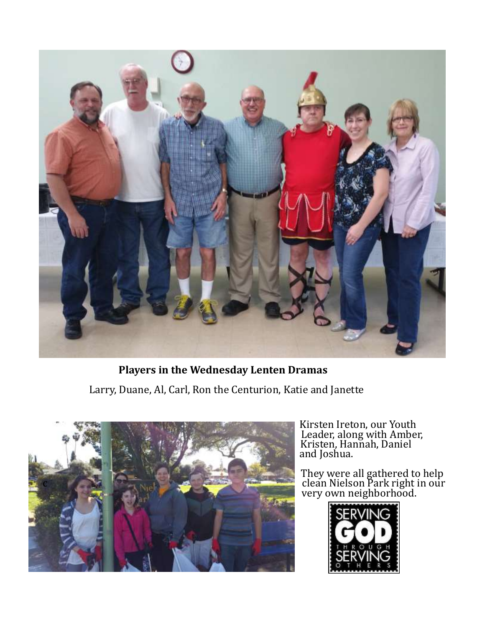

**Players in the Wednesday Lenten Dramas** Larry, Duane, Al, Carl, Ron the Centurion, Katie and Janette



Kirsten Ireton, our Youth Leader, along with Amber, Kristen, Hannah, Daniel **and Joshua.** 

> They were all gathered to help very own neighborhood.

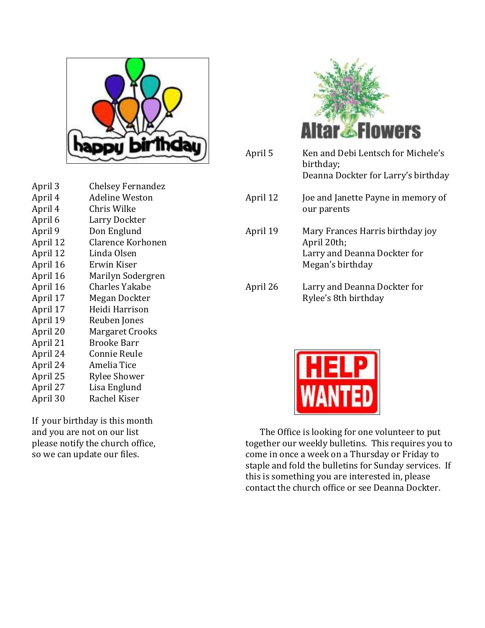

April 3 Chelsey Fernandez April 4 Adeline Weston April 4 Chris Wilke April 6 Larry Dockter April 9 Don Englund April 12 Clarence Korhonen April 12 Linda Olsen April 16 Erwin Kiser April 16 Marilyn Sodergren April 16 Charles Yakabe April 17 Megan Dockter April 17 Heidi Harrison April 19 Reuben Jones April 20 Margaret Crooks April 21 Brooke Barr April 24 Connie Reule April 24 Amelia Tice April 25 Rylee Shower April 27 Lisa Englund April 30 Rachel Kiser

If your birthday is this month and you are not on our list please notify the church office, so we can update our files.



| April 5  | Ken and Debi Lentsch for Michele's<br>birthday;<br>Deanna Dockter for Larry's birthday              |
|----------|-----------------------------------------------------------------------------------------------------|
| April 12 | Joe and Janette Payne in memory of<br>our parents                                                   |
| April 19 | Mary Frances Harris birthday joy<br>April 20th;<br>Larry and Deanna Dockter for<br>Megan's birthday |
| April 26 | Larry and Deanna Dockter for<br>Rylee's 8th birthday                                                |



The Office is looking for one volunteer to put together our weekly bulletins. This requires you to come in once a week on a Thursday or Friday to staple and fold the bulletins for Sunday services. If this is something you are interested in, please contact the church office or see Deanna Dockter.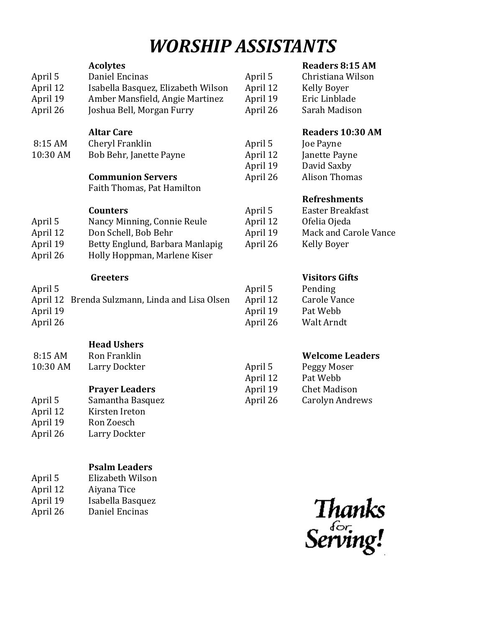# *WORSHIP ASSISTANTS*

|                                                   | <b>Acolytes</b>                    |          | <b>Readers 8:15 AM</b>       |
|---------------------------------------------------|------------------------------------|----------|------------------------------|
| April 5                                           | Daniel Encinas                     | April 5  | Christiana Wilson            |
| April 12                                          | Isabella Basquez, Elizabeth Wilson | April 12 | <b>Kelly Boyer</b>           |
| April 19                                          | Amber Mansfield, Angie Martinez    | April 19 | Eric Linblade                |
| April 26                                          | Joshua Bell, Morgan Furry          | April 26 | Sarah Madison                |
|                                                   | <b>Altar Care</b>                  |          | <b>Readers 10:30 AM</b>      |
| 8:15 AM                                           | Cheryl Franklin                    | April 5  | Joe Payne                    |
| 10:30 AM                                          | Bob Behr, Janette Payne            | April 12 | Janette Payne                |
|                                                   |                                    | April 19 | David Saxby                  |
|                                                   | <b>Communion Servers</b>           | April 26 | <b>Alison Thomas</b>         |
|                                                   | Faith Thomas, Pat Hamilton         |          |                              |
|                                                   |                                    |          | <b>Refreshments</b>          |
|                                                   | <b>Counters</b>                    | April 5  | Easter Breakfast             |
| April 5                                           | Nancy Minning, Connie Reule        | April 12 | Ofelia Ojeda                 |
| April 12                                          | Don Schell, Bob Behr               | April 19 | <b>Mack and Carole Vance</b> |
| April 19                                          | Betty Englund, Barbara Manlapig    | April 26 | <b>Kelly Boyer</b>           |
| April 26                                          | Holly Hoppman, Marlene Kiser       |          |                              |
|                                                   | <b>Greeters</b>                    |          | <b>Visitors Gifts</b>        |
| April 5                                           |                                    | April 5  | Pending                      |
| April 12<br>Brenda Sulzmann, Linda and Lisa Olsen |                                    | April 12 | <b>Carole Vance</b>          |
| April 19                                          |                                    | April 19 | Pat Webb                     |
| April 26                                          |                                    | April 26 | Walt Arndt                   |
|                                                   | <b>Head Ushers</b>                 |          |                              |
| 8:15 AM                                           | Ron Franklin                       |          | <b>Welcome Leaders</b>       |
| 10:30 AM                                          |                                    |          |                              |
|                                                   | Larry Dockter                      | April 5  | Peggy Moser                  |
|                                                   |                                    | April 12 | Pat Webb                     |
|                                                   | <b>Prayer Leaders</b>              | April 19 | <b>Chet Madison</b>          |
| April 5                                           | Samantha Basquez                   | April 26 | <b>Carolyn Andrews</b>       |
| April 12                                          | Kirsten Ireton                     |          |                              |
| April 19                                          | Ron Zoesch                         |          |                              |
| April 26                                          | Larry Dockter                      |          |                              |
|                                                   |                                    |          |                              |

#### **Psalm Leaders**

- April 12 Aiyana Tice<br>April 19 Isabella Bas
- April 19 Isabella Basquez<br>April 26 Daniel Encinas Daniel Encinas

Thanks<br>Serving!